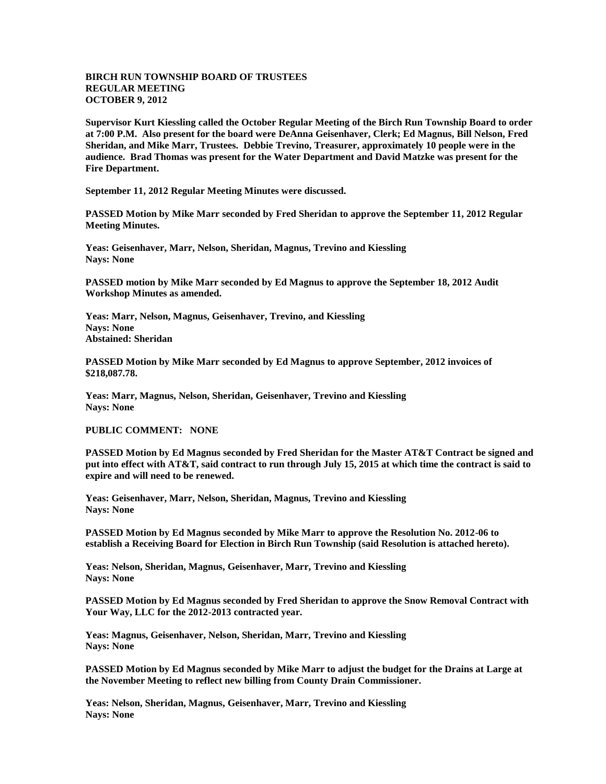## **BIRCH RUN TOWNSHIP BOARD OF TRUSTEES REGULAR MEETING OCTOBER 9, 2012**

**Supervisor Kurt Kiessling called the October Regular Meeting of the Birch Run Township Board to order at 7:00 P.M. Also present for the board were DeAnna Geisenhaver, Clerk; Ed Magnus, Bill Nelson, Fred Sheridan, and Mike Marr, Trustees. Debbie Trevino, Treasurer, approximately 10 people were in the audience. Brad Thomas was present for the Water Department and David Matzke was present for the Fire Department.** 

**September 11, 2012 Regular Meeting Minutes were discussed.**

**PASSED Motion by Mike Marr seconded by Fred Sheridan to approve the September 11, 2012 Regular Meeting Minutes.**

**Yeas: Geisenhaver, Marr, Nelson, Sheridan, Magnus, Trevino and Kiessling Nays: None**

**PASSED motion by Mike Marr seconded by Ed Magnus to approve the September 18, 2012 Audit Workshop Minutes as amended.**

**Yeas: Marr, Nelson, Magnus, Geisenhaver, Trevino, and Kiessling Nays: None Abstained: Sheridan**

**PASSED Motion by Mike Marr seconded by Ed Magnus to approve September, 2012 invoices of \$218,087.78.**

**Yeas: Marr, Magnus, Nelson, Sheridan, Geisenhaver, Trevino and Kiessling Nays: None**

**PUBLIC COMMENT: NONE**

**PASSED Motion by Ed Magnus seconded by Fred Sheridan for the Master AT&T Contract be signed and put into effect with AT&T, said contract to run through July 15, 2015 at which time the contract is said to expire and will need to be renewed.**

**Yeas: Geisenhaver, Marr, Nelson, Sheridan, Magnus, Trevino and Kiessling Nays: None**

**PASSED Motion by Ed Magnus seconded by Mike Marr to approve the Resolution No. 2012-06 to establish a Receiving Board for Election in Birch Run Township (said Resolution is attached hereto).**

**Yeas: Nelson, Sheridan, Magnus, Geisenhaver, Marr, Trevino and Kiessling Nays: None**

**PASSED Motion by Ed Magnus seconded by Fred Sheridan to approve the Snow Removal Contract with Your Way, LLC for the 2012-2013 contracted year.**

**Yeas: Magnus, Geisenhaver, Nelson, Sheridan, Marr, Trevino and Kiessling Nays: None**

**PASSED Motion by Ed Magnus seconded by Mike Marr to adjust the budget for the Drains at Large at the November Meeting to reflect new billing from County Drain Commissioner.**

**Yeas: Nelson, Sheridan, Magnus, Geisenhaver, Marr, Trevino and Kiessling Nays: None**